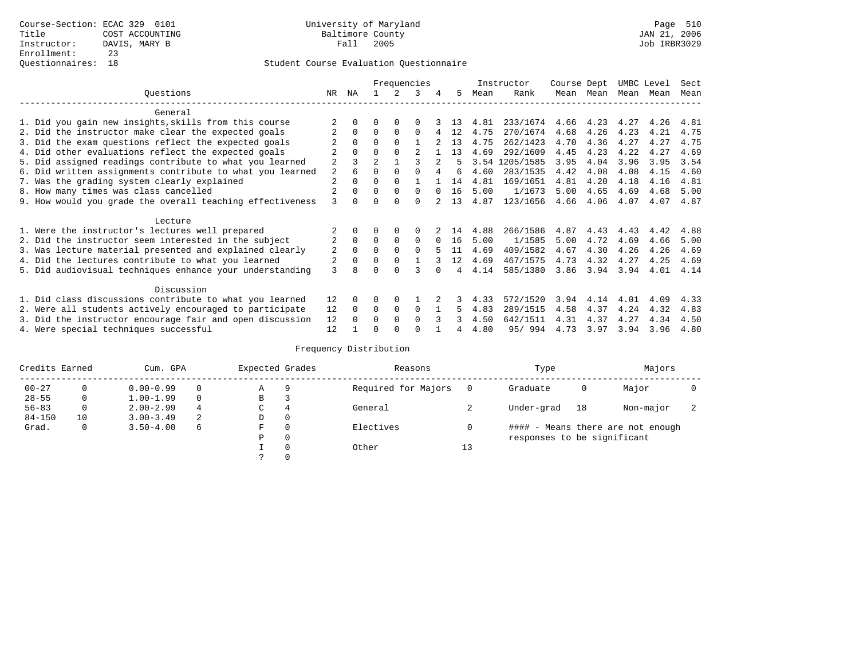# Student Course Evaluation Questionnaire

|                                                           |                | Frequencies |                |             |          |                |    |      | Instructor |      | Course Dept |      | UMBC Level |      |
|-----------------------------------------------------------|----------------|-------------|----------------|-------------|----------|----------------|----|------|------------|------|-------------|------|------------|------|
| Ouestions                                                 | NR.            | ΝA          |                |             | 3        | 4              | 5. | Mean | Rank       |      | Mean Mean   | Mean | Mean       | Mean |
| General                                                   |                |             |                |             |          |                |    |      |            |      |             |      |            |      |
| 1. Did you gain new insights, skills from this course     |                |             | O              | $\Omega$    | $\Omega$ |                | 13 | 4.81 | 233/1674   | 4.66 | 4.23        | 4.27 | 4.26       | 4.81 |
| 2. Did the instructor make clear the expected goals       |                | $\Omega$    | $\Omega$       | $\Omega$    | $\Omega$ |                | 12 | 4.75 | 270/1674   | 4.68 | 4.26        | 4.23 | 4.21       | 4.75 |
| 3. Did the exam questions reflect the expected goals      |                | $\Omega$    | $\Omega$       | $\Omega$    |          |                | 13 | 4.75 | 262/1423   | 4.70 | 4.36        | 4.27 | 4.27       | 4.75 |
| 4. Did other evaluations reflect the expected goals       |                | $\Omega$    | $\Omega$       | $\Omega$    |          |                | 13 | 4.69 | 292/1609   | 4.45 | 4.23        | 4.22 | 4.27       | 4.69 |
| 5. Did assigned readings contribute to what you learned   | $\overline{a}$ |             | $\mathfrak{D}$ |             |          | $\overline{2}$ |    | 3.54 | 1205/1585  | 3.95 | 4.04        | 3.96 | 3.95       | 3.54 |
| 6. Did written assignments contribute to what you learned | 2              | 6           | $\Omega$       | $\Omega$    |          |                | б. | 4.60 | 283/1535   | 4.42 | 4.08        | 4.08 | 4.15       | 4.60 |
| 7. Was the grading system clearly explained               | $\overline{2}$ | $\Omega$    | 0              | $\Omega$    |          |                | 14 | 4.81 | 169/1651   | 4.81 | 4.20        | 4.18 | 4.16       | 4.81 |
| 8. How many times was class cancelled                     |                | $\Omega$    | $\Omega$       | $\Omega$    | $\Omega$ |                | 16 | 5.00 | 1/1673     | 5.00 | 4.65        | 4.69 | 4.68       | 5.00 |
| 9. How would you grade the overall teaching effectiveness | 3              | $\cap$      | ∩              | ∩           | $\cap$   |                | 13 | 4.87 | 123/1656   | 4.66 | 4.06        | 4.07 | 4.07       | 4.87 |
| Lecture                                                   |                |             |                |             |          |                |    |      |            |      |             |      |            |      |
| 1. Were the instructor's lectures well prepared           |                |             |                | $\Omega$    | $\Omega$ |                | 14 | 4.88 | 266/1586   | 4.87 | 4.43        | 4.43 | 4.42       | 4.88 |
| 2. Did the instructor seem interested in the subject      | 2              | $\Omega$    | $\Omega$       | $\Omega$    | $\Omega$ | $\Omega$       | 16 | 5.00 | 1/1585     | 5.00 | 4.72        | 4.69 | 4.66       | 5.00 |
| 3. Was lecture material presented and explained clearly   | 2              | $\Omega$    | 0              | $\Omega$    | $\Omega$ |                | 11 | 4.69 | 409/1582   | 4.67 | 4.30        | 4.26 | 4.26       | 4.69 |
| 4. Did the lectures contribute to what you learned        |                | $\Omega$    | $\Omega$       | $\Omega$    |          |                | 12 | 4.69 | 467/1575   | 4.73 | 4.32        | 4.27 | 4.25       | 4.69 |
| 5. Did audiovisual techniques enhance your understanding  | 3              | R           |                | $\cap$      |          |                | 4  | 4.14 | 585/1380   | 3.86 | 3.94        | 3.94 | 4.01       | 4.14 |
| Discussion                                                |                |             |                |             |          |                |    |      |            |      |             |      |            |      |
| 1. Did class discussions contribute to what you learned   | 12             | $\Omega$    | 0              | $\Omega$    |          |                |    | 4.33 | 572/1520   | 3.94 | 4.14        | 4.01 | 4.09       | 4.33 |
| 2. Were all students actively encouraged to participate   | 12             | $\Omega$    | $\Omega$       | $\mathbf 0$ | $\Omega$ |                | 5. | 4.83 | 289/1515   | 4.58 | 4.37        | 4.24 | 4.32       | 4.83 |
| 3. Did the instructor encourage fair and open discussion  | 12             | $\Omega$    | 0              | $\Omega$    | $\Omega$ |                |    | 4.50 | 642/1511   | 4.31 | 4.37        | 4.27 | 4.34       | 4.50 |
| 4. Were special techniques successful                     | 12             |             |                |             |          |                |    | 4.80 | 95/994     | 4.73 | 3.97        | 3.94 | 3.96       | 4.80 |

# Frequency Distribution

| Credits Earned |          | Cum. GPA      | Expected Grades |             | Reasons  |                     | Type     |                             |                                   |           |  |
|----------------|----------|---------------|-----------------|-------------|----------|---------------------|----------|-----------------------------|-----------------------------------|-----------|--|
| $00 - 27$      | $\Omega$ | $0.00 - 0.99$ |                 | Α           | 9        | Required for Majors | $\Omega$ | Graduate                    | 0                                 | Major     |  |
| $28 - 55$      | 0        | $1.00 - 1.99$ |                 | В           | 3        |                     |          |                             |                                   |           |  |
| $56 - 83$      | $\circ$  | $2.00 - 2.99$ | 4               | $\sim$<br>◡ | 4        | General             |          | Under-grad                  | 18                                | Non-major |  |
| $84 - 150$     | 10       | $3.00 - 3.49$ | 2               | D           | 0        |                     |          |                             |                                   |           |  |
| Grad.          | 0        | $3.50 - 4.00$ | 6               | F           | 0        | Electives           | 0        |                             | #### - Means there are not enough |           |  |
|                |          |               |                 | Ρ           | 0        |                     |          | responses to be significant |                                   |           |  |
|                |          |               |                 |             | $\Omega$ | Other               | 13       |                             |                                   |           |  |
|                |          |               |                 |             |          |                     |          |                             |                                   |           |  |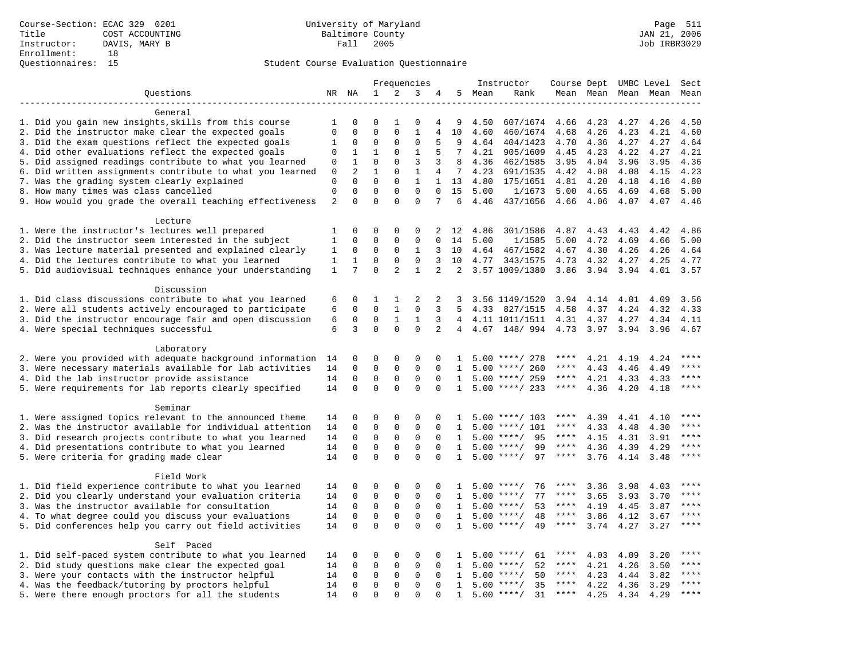# Student Course Evaluation Questionnaire

|                                                                                                                     |                |              |              | Frequencies         |              |                |                 | Instructor |                              |             |              | Course Dept UMBC Level | Sect         |             |
|---------------------------------------------------------------------------------------------------------------------|----------------|--------------|--------------|---------------------|--------------|----------------|-----------------|------------|------------------------------|-------------|--------------|------------------------|--------------|-------------|
| Ouestions                                                                                                           |                | NR NA        | 1            | 2                   | 3            | 4              |                 | 5 Mean     | Rank                         |             | Mean Mean    |                        | Mean Mean    | Mean        |
|                                                                                                                     |                |              |              |                     |              |                |                 |            |                              |             |              |                        |              |             |
| General                                                                                                             |                |              |              |                     |              |                |                 |            |                              |             |              |                        |              |             |
| 1. Did you gain new insights, skills from this course                                                               | 1              | 0            | 0            | 1                   | 0            | 4              | 9               | 4.50       | 607/1674                     | 4.66        | 4.23         | 4.27                   | 4.26         | 4.50        |
| 2. Did the instructor make clear the expected goals                                                                 | $\mathbf 0$    | $\Omega$     | $\Omega$     | $\Omega$            | $\mathbf{1}$ | 4              | 10              | 4.60       | 460/1674                     | 4.68        | 4.26         | 4.23                   | 4.21         | 4.60        |
| 3. Did the exam questions reflect the expected goals                                                                | 1              | 0            | 0            | 0                   | $\mathbf{0}$ | 5              | 9               | 4.64       | 404/1423                     | 4.70        | 4.36         | 4.27                   | 4.27         | 4.64        |
| 4. Did other evaluations reflect the expected goals                                                                 | $\mathbf 0$    | $\mathbf{1}$ | $\mathbf{1}$ | $\mathbf 0$         | $\mathbf{1}$ | 5              | $7\overline{ }$ | 4.21       | 905/1609                     | 4.45        | 4.23         | 4.22                   | 4.27         | 4.21        |
| 5. Did assigned readings contribute to what you learned                                                             | 0              | $\mathbf{1}$ | $\mathbf 0$  | $\Omega$            | 3            | 3              | 8               | 4.36       | 462/1585                     | 3.95        | 4.04         | 3.96                   | 3.95         | 4.36        |
| 6. Did written assignments contribute to what you learned                                                           | 0              | 2            | $\mathbf{1}$ | $\mathbf 0$         | $\mathbf{1}$ | $\overline{4}$ | 7               | 4.23       | 691/1535                     | 4.42        | 4.08         | 4.08                   | 4.15         | 4.23        |
| 7. Was the grading system clearly explained                                                                         | $\mathbf 0$    | $\Omega$     | $\Omega$     | $\Omega$            | $\mathbf{1}$ | $\mathbf{1}$   | 13              | 4.80       | 175/1651                     | 4.81        | 4.20         | 4.18                   | 4.16         | 4.80        |
| 8. How many times was class cancelled                                                                               | $\mathbf 0$    | $\mathbf 0$  | $\mathbf 0$  | $\mathbf 0$         | $\mathbf 0$  | $\Omega$       | 15              | 5.00       | 1/1673                       | 5.00        | 4.65         | 4.69                   | 4.68         | 5.00        |
| 9. How would you grade the overall teaching effectiveness                                                           | $\overline{a}$ | $\Omega$     | $\Omega$     | $\Omega$            | $\Omega$     | 7              | 6               | 4.46       | 437/1656                     | 4.66 4.06   |              | 4.07                   | 4.07         | 4.46        |
| Lecture                                                                                                             |                |              |              |                     |              |                |                 |            |                              |             |              |                        |              |             |
| 1. Were the instructor's lectures well prepared                                                                     | 1              | $\mathbf 0$  | 0            | $\mathbf 0$         | $\mathbf 0$  | 2              | 12              | 4.86       | 301/1586                     | 4.87        | 4.43         | 4.43                   | 4.42         | 4.86        |
| 2. Did the instructor seem interested in the subject                                                                | 1              | $\mathbf 0$  | $\mathbf 0$  | $\mathbf 0$         | $\mathbf{0}$ | $\Omega$       | 14              | 5.00       | 1/1585                       | 5.00        | 4.72         | 4.69                   | 4.66         | 5.00        |
| 3. Was lecture material presented and explained clearly                                                             | 1              | 0            | 0            | 0                   | 1            | 3              | 10              | 4.64       | 467/1582                     | 4.67        | 4.30         | 4.26                   | 4.26         | 4.64        |
| 4. Did the lectures contribute to what you learned                                                                  | $\mathbf{1}$   | $\mathbf{1}$ | $\mathbf 0$  | $\mathbf 0$         | $\mathbf 0$  | 3              | 10              |            | 4.77 343/1575                | 4.73        | 4.32         | 4.27                   | 4.25         | 4.77        |
| 5. Did audiovisual techniques enhance your understanding                                                            | $\mathbf{1}$   | 7            | $\mathbf 0$  | $\overline{a}$      | $\mathbf{1}$ | $\overline{2}$ | $\overline{2}$  |            | 3.57 1009/1380               | 3.86        | 3.94 3.94    |                        | 4.01         | 3.57        |
|                                                                                                                     |                |              |              |                     |              |                |                 |            |                              |             |              |                        |              |             |
| Discussion                                                                                                          |                |              |              |                     |              |                |                 |            |                              |             |              |                        |              |             |
| 1. Did class discussions contribute to what you learned                                                             | 6              | 0            | 1            | 1                   | 2            | 2              | 3               |            | 3.56 1149/1520               | 3.94        | 4.14         | 4.01                   | 4.09         | 3.56        |
| 2. Were all students actively encouraged to participate                                                             | 6              | $\mathbf 0$  | $\mathbf 0$  | $\mathbf{1}$        | $\mathbf 0$  | 3              | .5              | 4.33       | 827/1515                     | 4.58        | 4.37         | 4.24                   | 4.32         | 4.33        |
| 3. Did the instructor encourage fair and open discussion                                                            | 6              | 0            | $\mathbf 0$  | $\mathbf{1}$        | 1            | 3              | 4               |            | 4.11 1011/1511               | 4.31        | 4.37         | 4.27                   | 4.34         | 4.11        |
| 4. Were special techniques successful                                                                               | 6              | 3            | $\Omega$     | $\Omega$            | $\Omega$     | $\overline{2}$ | $\overline{4}$  |            | 4.67 148/ 994 4.73 3.97 3.94 |             |              |                        | 3.96         | 4.67        |
| Laboratory                                                                                                          |                |              |              |                     |              |                |                 |            |                              |             |              |                        |              |             |
| 2. Were you provided with adequate background information                                                           | 14             | 0            | 0            | $\mathbf 0$         | $\mathbf 0$  | $\Omega$       | 1               |            | $5.00$ ****/ 278             | ****        | 4.21         | 4.19                   | 4.24         | ****        |
| 3. Were necessary materials available for lab activities                                                            | 14             | $\mathbf 0$  | $\mathbf 0$  | $\mathbf 0$         | $\mathbf{0}$ | $\mathbf 0$    | 1               |            | $5.00$ ****/ 260             | ****        | 4.43         | 4.46                   | 4.49         | ****        |
| 4. Did the lab instructor provide assistance                                                                        | 14             | $\mathbf 0$  | $\mathbf 0$  | 0                   | 0            | 0              | 1               |            | $5.00$ ****/ 259             | ****        | 4.21         | 4.33                   | 4.33         | $***$       |
| 5. Were requirements for lab reports clearly specified                                                              | 14             | $\Omega$     | $\Omega$     | $\Omega$            | $\Omega$     | $\Omega$       | $\mathbf{1}$    |            | $5.00$ ****/ 233             | $***$ * * * | 4.36         | 4.20                   | 4.18         | $***$       |
|                                                                                                                     |                |              |              |                     |              |                |                 |            |                              |             |              |                        |              |             |
| Seminar                                                                                                             |                | $\mathbf 0$  | $\mathbf 0$  | $\mathbf 0$         | $\mathbf 0$  | $\mathbf 0$    | -1.             |            | $5.00$ ****/ 103             | ****        |              |                        |              |             |
| 1. Were assigned topics relevant to the announced theme                                                             | 14<br>14       | 0            | $\mathbf 0$  | 0                   | $\mathbf 0$  | 0              | 1               | 5.00       | ****/ 101                    | ****        | 4.39         | 4.41                   | 4.10         | ****        |
| 2. Was the instructor available for individual attention<br>3. Did research projects contribute to what you learned | 14             | $\mathbf 0$  | $\mathbf 0$  | $\mathbf 0$         | $\mathbf 0$  | $\Omega$       | $\mathbf{1}$    |            | $5.00$ ****/<br>95           | $***$ * * * | 4.33<br>4.15 | 4.48<br>4.31           | 4.30<br>3.91 | $***$       |
|                                                                                                                     | 14             | $\mathbf 0$  | $\mathsf 0$  | $\mathbf 0$         | $\mathbf{0}$ | $\Omega$       | $\mathbf{1}$    | 5.00       | $***/$<br>99                 | $***$ * * * | 4.36         |                        | 4.29         | $***$       |
| 4. Did presentations contribute to what you learned<br>5. Were criteria for grading made clear                      | 14             | $\Omega$     | $\Omega$     | $\Omega$            | $\Omega$     | $\Omega$       | $\mathbf{1}$    |            | $5.00$ ****/<br>97           | ****        | 3.76         | 4.39<br>4.14           | 3.48         | ****        |
|                                                                                                                     |                |              |              |                     |              |                |                 |            |                              |             |              |                        |              |             |
| Field Work                                                                                                          |                |              |              |                     |              |                |                 |            |                              |             |              |                        |              |             |
| 1. Did field experience contribute to what you learned                                                              | 14             | $\mathbf 0$  | 0            | 0                   | $\mathbf 0$  | $\Omega$       |                 | 5.00       | $***$ /<br>76                | ****        | 3.36         | 3.98                   | 4.03         | ****        |
| 2. Did you clearly understand your evaluation criteria                                                              | 14             | $\mathbf 0$  | $\mathbf 0$  | $\mathbf 0$         | $\mathbf{0}$ | $\Omega$       | 1               |            | 77<br>$5.00$ ****/           | $***$ * *   | 3.65         | 3.93                   | 3.70         | $***$ * * * |
| 3. Was the instructor available for consultation                                                                    | 14             | $\mathbf 0$  | $\mathbf 0$  | $\mathbf 0$         | $\mathbf 0$  | $\Omega$       | $\mathbf{1}$    |            | $5.00$ ****/<br>53           | $***$ * *   | 4.19         | 4.45                   | 3.87         | $***$ * * * |
| 4. To what degree could you discuss your evaluations                                                                | 14             | $\Omega$     | $\mathbf 0$  | $\mathbf 0$         | $\mathbf 0$  | $\Omega$       | $\mathbf{1}$    | 5.00       | $***/$<br>48                 | $***$ * *   | 3.86         | 4.12                   | 3.67         | $***$       |
| 5. Did conferences help you carry out field activities                                                              | 14             | $\mathbf 0$  | $\Omega$     | $\Omega$            | $\Omega$     | $\Omega$       | $\mathbf{1}$    |            | $5.00$ ****/<br>49           | ****        | 3.74         | 4.27                   | 3.27         | $***$       |
| Self Paced                                                                                                          |                |              |              |                     |              |                |                 |            |                              |             |              |                        |              |             |
| 1. Did self-paced system contribute to what you learned                                                             | 14             | 0            | 0            | 0                   | 0            | 0              | 1               |            | $5.00$ ****/<br>61           | ****        | 4.03         | 4.09                   | 3.20         | ****        |
| 2. Did study questions make clear the expected goal                                                                 | 14             | $\mathbf 0$  | $\mathbf 0$  | $\mathbf 0$         | $\mathbf{0}$ | $\Omega$       | 1               | 5.00       | 52<br>$***/$                 | ****        | 4.21         | 4.26                   | 3.50         | $***$       |
| 3. Were your contacts with the instructor helpful                                                                   | 14             | $\mathbf 0$  | $\mathbf 0$  | 0                   | $\mathbf{0}$ | $\Omega$       | $\mathbf{1}$    |            | $5.00$ ****/<br>50           | ****        | 4.23         | 4.44                   | 3.82         | $***$       |
| 4. Was the feedback/tutoring by proctors helpful                                                                    | 14             | 0            | $\mathsf 0$  | $\mathsf{O}\xspace$ | $\Omega$     | $\Omega$       | 1               | 5.00       | 35<br>$***$ /                | ****        | 4.22         | 4.36                   | 3.29         | $***$       |
| 5. Were there enough proctors for all the students                                                                  | 14             | $\Omega$     | $\Omega$     | $\Omega$            | $\Omega$     | $\Omega$       | $\mathbf{1}$    |            | $5.00$ ****/<br>31           | $***$ * *   | 4.25         |                        | 4.34 4.29    | $***$       |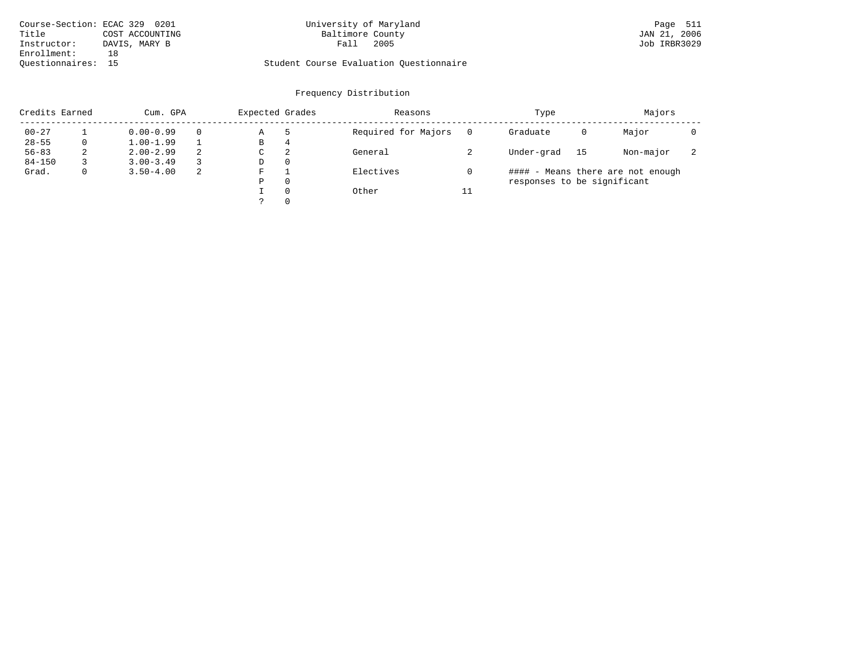| Course-Section: ECAC 329 0201 |                 | University of Maryland                  | Page 511     |
|-------------------------------|-----------------|-----------------------------------------|--------------|
| Title                         | COST ACCOUNTING | Baltimore County                        | JAN 21, 2006 |
| Instructor:                   | DAVIS, MARY B   | 2005<br>Fall                            | Job IRBR3029 |
| Enrollment:                   |                 |                                         |              |
| Ouestionnaires:               |                 | Student Course Evaluation Questionnaire |              |

# University of Maryland Baltimore County (Baggae 511 of Maryland Page 511 of Maryland Page 511 of Maryland Page 511 of Maryland Page 511 of Maryland Page 511 of Maryland Page 511 of Maryland Page 511 of Maryland Page 511 of

# Questionnaires: 15 Student Course Evaluation Questionnaire

# Frequency Distribution

| Credits Earned |    | Cum. GPA                  |   | Expected Grades |          | Reasons             |    | Type                        | Majors                            |           |                          |
|----------------|----|---------------------------|---|-----------------|----------|---------------------|----|-----------------------------|-----------------------------------|-----------|--------------------------|
| $00 - 27$      |    | $0.00 - 0.99$<br>$\Omega$ |   | Α               | -5       | Required for Majors |    | Graduate                    | 0                                 | Major     |                          |
| $28 - 55$      |    | $1.00 - 1.99$             |   | В               | 4        |                     |    |                             |                                   |           |                          |
| $56 - 83$      | z. | $2.00 - 2.99$             | 2 | C               | 2        | General             |    | Under-grad                  | 15                                | Non-major | $\overline{\phantom{a}}$ |
| $84 - 150$     |    | $3.00 - 3.49$             |   | D               | 0        |                     |    |                             |                                   |           |                          |
| Grad.          |    | $3.50 - 4.00$             | 2 | F               |          | Electives           |    |                             | #### - Means there are not enough |           |                          |
|                |    |                           |   | Ρ               | $\Omega$ |                     |    | responses to be significant |                                   |           |                          |
|                |    |                           |   |                 | $\Omega$ | Other               | 11 |                             |                                   |           |                          |
|                |    |                           |   |                 | $\Omega$ |                     |    |                             |                                   |           |                          |